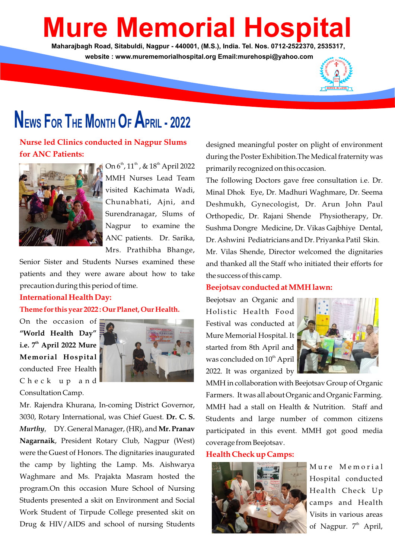# **Mure Memorial Hospit**

**Maharajbagh Road, Sitabuldi, Nagpur - 440001, (M.S.), India. Tel. Nos. 0712-2522370, 2535317, website : www.murememorialhospital.org Email:murehospi@yahoo.com**



# **NEWS FOR THE MONTH O<sup>F</sup> APRIL - <sup>2022</sup>**

**Nurse led Clinics conducted in Nagpur Slums for ANC Patients:**



On  $6^{\text{th}}$ ,  $11^{\text{th}}$ , &  $18^{\text{th}}$  April 2022 MMH Nurses Lead Team visited Kachimata Wadi, Chunabhati, Ajni, and Surendranagar, Slums of Nagpur to examine the ANC patients. Dr. Sarika, Mrs. Prathibha Bhange,

Senior Sister and Students Nurses examined these patients and they were aware about how to take precaution during this period of time.

#### **International Health Day:**

#### **Theme for this year 2022 : Our Planet, Our Health.**

On the occasion of **"World Health Day" th i.e. 7 April 2022 Mure Memorial Hospital** conducted Free Health C h e c k u p a n d Consultation Camp.



Mr. Rajendra Khurana, In-coming District Governor, 3030, Rotary International, was Chief Guest. **Dr. C. S.** *Murthy,* DY. General Manager, (HR), and Mr. Pranav **Nagarnaik**, President Rotary Club, Nagpur (West) were the Guest of Honors. The dignitaries inaugurated the camp by lighting the Lamp. Ms. Aishwarya Waghmare and Ms. Prajakta Masram hosted the program.On this occasion Mure School of Nursing Students presented a skit on Environment and Social Work Student of Tirpude College presented skit on Drug & HIV/AIDS and school of nursing Students

designed meaningful poster on plight of environment during the Poster Exhibition.The Medical fraternity was primarily recognized on this occasion.

The following Doctors gave free consultation i.e. Dr. Minal Dhok Eye, Dr. Madhuri Waghmare, Dr. Seema Deshmukh, Gynecologist, Dr. Arun John Paul Orthopedic, Dr. Rajani Shende Physiotherapy, Dr. Sushma Dongre Medicine, Dr. Vikas Gajbhiye Dental, Dr. Ashwini Pediatricians and Dr. Priyanka Patil Skin. Mr. Vilas Shende, Director welcomed the dignitaries and thanked all the Staff who initiated their efforts for the success of this camp.

# **Beejotsav conducted at MMH lawn:**

Beejotsav an Organic and Holistic Health Food Festival was conducted at Mure Memorial Hospital. It started from 8th April and was concluded on 10<sup>th</sup> April 2022. It was organized by



MMH in collaboration with Beejotsav Group of Organic Farmers. It was all about Organic and Organic Farming. MMH had a stall on Health & Nutrition. Staff and Students and large number of common citizens participated in this event. MMH got good media coverage from Beejotsav.

# **Health Check up Camps:**



Mure Memorial Hospital conducted Health Check Up camps and Health Visits in various areas of Nagpur.  $7<sup>th</sup>$  April,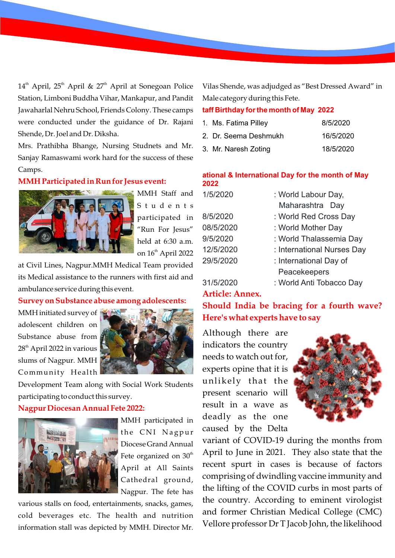$14<sup>th</sup>$  April, 25<sup>th</sup> April & 27<sup>th</sup> April at Sonegoan Police Station, Limboni Buddha Vihar, Mankapur, and Pandit Jawaharlal Nehru School, Friends Colony. These camps were conducted under the guidance of Dr. Rajani Shende, Dr. Joel and Dr. Diksha.

Mrs. Prathibha Bhange, Nursing Studnets and Mr. Sanjay Ramaswami work hard for the success of these Camps.

#### **MMH Participated in Run for Jesus event:**



S t u d e n t s participated in "Run For Jesus" held at 6:30 a.m. on 16<sup>th</sup> April 2022

at Civil Lines, Nagpur.MMH Medical Team provided its Medical assistance to the runners with first aid and ambulance service during this event.

#### **Survey on Substance abuse among adolescents:**

MMH initiated survey of adolescent children on Substance abuse from 28<sup>th</sup> April 2022 in various slums of Nagpur. MMH Community Health



Development Team along with Social Work Students participating to conduct this survey.

### **Nagpur Diocesan Annual Fete 2022:**



MMH participated in the CNI Nagpur Diocese Grand Annual Fete organized on 30<sup>th</sup> April at All Saints Cathedral ground, Nagpur. The fete has

various stalls on food, entertainments, snacks, games, cold beverages etc. The health and nutrition information stall was depicted by MMH. Director Mr. Vilas Shende, was adjudged as "Best Dressed Award" in Male category during this Fete.

#### **taff Birthday for the month of May 2022**

| 1. Ms. Fatima Pilley  | 8/5/2020  |
|-----------------------|-----------|
| 2. Dr. Seema Deshmukh | 16/5/2020 |
| 3. Mr. Naresh Zoting  | 18/5/2020 |

#### **ational & International Day for the month of May 2022**

| 1/5/2020  | : World Labour Day,        |
|-----------|----------------------------|
|           | Maharashtra Day            |
| 8/5/2020  | : World Red Cross Day      |
| 08/5/2020 | : World Mother Day         |
| 9/5/2020  | : World Thalassemia Day    |
| 12/5/2020 | : International Nurses Day |
| 29/5/2020 | : International Day of     |
|           | Peacekeepers               |
| 31/5/2020 | : World Anti Tobacco Day   |

# **Article: Annex.**

**Should India be bracing for a fourth wave? Here's what experts have to say**

Although there are indicators the country needs to watch out for, experts opine that it is unlikely that the present scenario will result in a wave as deadly as the one caused by the Delta



variant of COVID-19 during the months from April to June in 2021. They also state that the recent spurt in cases is because of factors comprising of dwindling vaccine immunity and the lifting of the COVID curbs in most parts of the country. According to eminent virologist and former Christian Medical College (CMC) Vellore professor Dr T Jacob John, the likelihood